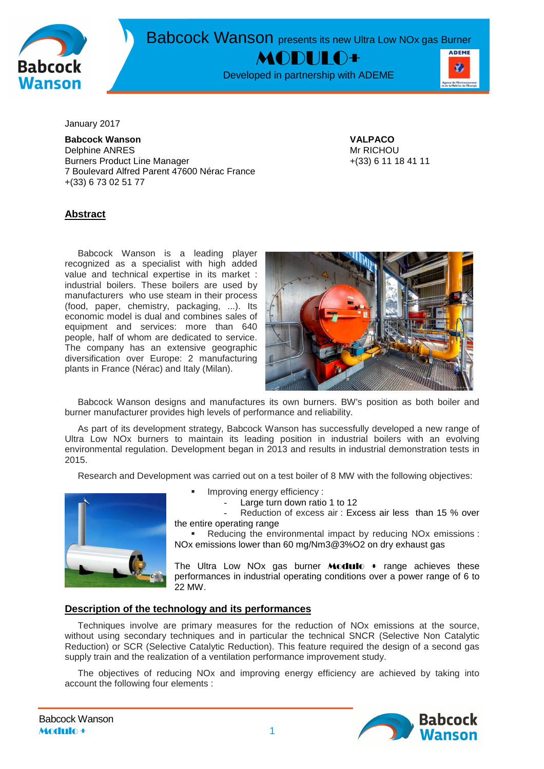

Babcock Wanson presents its new Ultra Low NOx gas Burner

MODULO+

Developed in partnership with ADEME



January 2017

**Babcock Wanson VALPACO** Delphine ANRES Mr RICHOU Burners Product Line Manager +(33) 6 11 18 41 11 7 Boulevard Alfred Parent 47600 Nérac France +(33) 6 73 02 51 77

# **Abstract**

Babcock Wanson is a leading player recognized as a specialist with high added value and technical expertise in its market : industrial boilers. These boilers are used by manufacturers who use steam in their process (food, paper, chemistry, packaging, ...). Its economic model is dual and combines sales of equipment and services: more than 640 people, half of whom are dedicated to service. The company has an extensive geographic diversification over Europe: 2 manufacturing plants in France (Nérac) and Italy (Milan).



Babcock Wanson designs and manufactures its own burners. BW's position as both boiler and burner manufacturer provides high levels of performance and reliability.

As part of its development strategy, Babcock Wanson has successfully developed a new range of Ultra Low NOx burners to maintain its leading position in industrial boilers with an evolving environmental regulation. Development began in 2013 and results in industrial demonstration tests in 2015.

Research and Development was carried out on a test boiler of 8 MW with the following objectives:



- Improving energy efficiency :
	- Large turn down ratio 1 to 12

Reduction of excess air : Excess air less than 15 % over the entire operating range

 Reducing the environmental impact by reducing NOx emissions : NOx emissions lower than 60 mg/Nm3@3%O2 on dry exhaust gas

The Ultra Low NOx gas burner **Modulo** + range achieves these performances in industrial operating conditions over a power range of 6 to 22 MW.

### **Description of the technology and its performances**

Techniques involve are primary measures for the reduction of NOx emissions at the source, without using secondary techniques and in particular the technical SNCR (Selective Non Catalytic Reduction) or SCR (Selective Catalytic Reduction). This feature required the design of a second gas supply train and the realization of a ventilation performance improvement study.

The objectives of reducing NOx and improving energy efficiency are achieved by taking into account the following four elements :

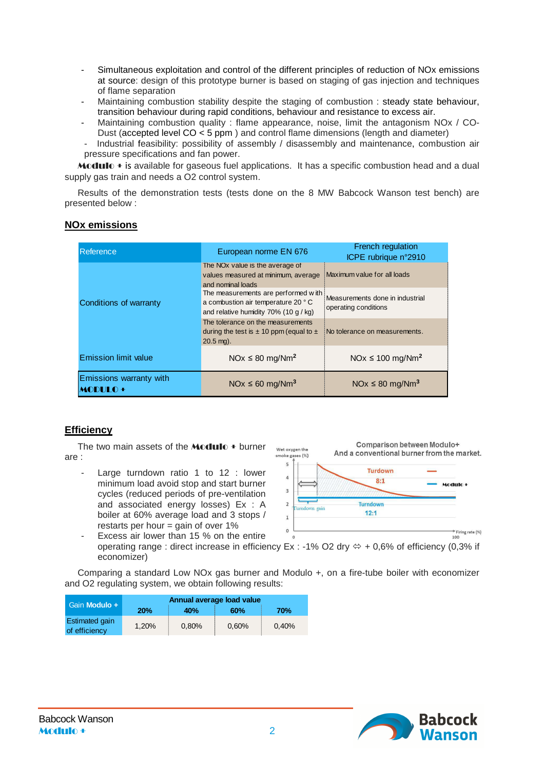- Simultaneous exploitation and control of the different principles of reduction of NOx emissions at source: design of this prototype burner is based on staging of gas injection and techniques of flame separation
- Maintaining combustion stability despite the staging of combustion : steady state behaviour, transition behaviour during rapid conditions, behaviour and resistance to excess air.
- Maintaining combustion quality : flame appearance, noise, limit the antagonism NOx / CO-Dust (accepted level CO < 5 ppm ) and control flame dimensions (length and diameter)
- Industrial feasibility: possibility of assembly / disassembly and maintenance, combustion air pressure specifications and fan power.

**Modulo**  $\bullet$  is available for gaseous fuel applications. It has a specific combustion head and a dual supply gas train and needs a O2 control system.

Results of the demonstration tests (tests done on the 8 MW Babcock Wanson test bench) are presented below :

| Reference                                 | European norme EN 676                                                                                              | <b>French regulation</b><br>ICPE rubrique n°2910        |  |  |
|-------------------------------------------|--------------------------------------------------------------------------------------------------------------------|---------------------------------------------------------|--|--|
| Conditions of warranty                    | The NO <sub>x</sub> value is the average of<br>values measured at minimum, average<br>and nominal loads            | Maximum value for all loads                             |  |  |
|                                           | The measurements are performed with<br>a combustion air temperature 20 °C<br>and relative humidity 70% (10 g / kg) | Measurements done in industrial<br>operating conditions |  |  |
|                                           | The tolerance on the measurements<br>during the test is $\pm$ 10 ppm (equal to $\pm$<br>$20.5$ mg).                | No tolerance on measurements.                           |  |  |
| <b>Emission limit value</b>               | $NOx \leq 80$ mg/Nm <sup>2</sup>                                                                                   | $NOx \le 100$ mg/Nm <sup>2</sup>                        |  |  |
| Emissions warranty with<br><b>MODULO+</b> | NOx $\leq 60$ mg/Nm <sup>3</sup>                                                                                   | $NOx \leq 80$ mg/Nm <sup>3</sup>                        |  |  |

### **NOx emissions**

# **Efficiency**

The two main assets of the **Modulo**  $\pm$  burner are :

Large turndown ratio 1 to 12 : lower minimum load avoid stop and start burner cycles (reduced periods of pre-ventilation and associated energy losses) Ex : A boiler at 60% average load and 3 stops / restarts per hour  $=$  gain of over 1%



Excess air lower than 15 % on the entire operating range : direct increase in efficiency Ex : -1% O2 dry  $\Leftrightarrow$  + 0,6% of efficiency (0,3% if economizer)

Comparing a standard Low NOx gas burner and Modulo +, on a fire-tube boiler with economizer and O2 regulating system, we obtain following results:

| Gain Modulo +                          | Annual average load value |       |       |       |  |  |
|----------------------------------------|---------------------------|-------|-------|-------|--|--|
|                                        | 20%                       | 40%   | 60%   | 70%   |  |  |
| <b>Estimated gain</b><br>of efficiency | 1.20%                     | 0.80% | 0.60% | 0.40% |  |  |